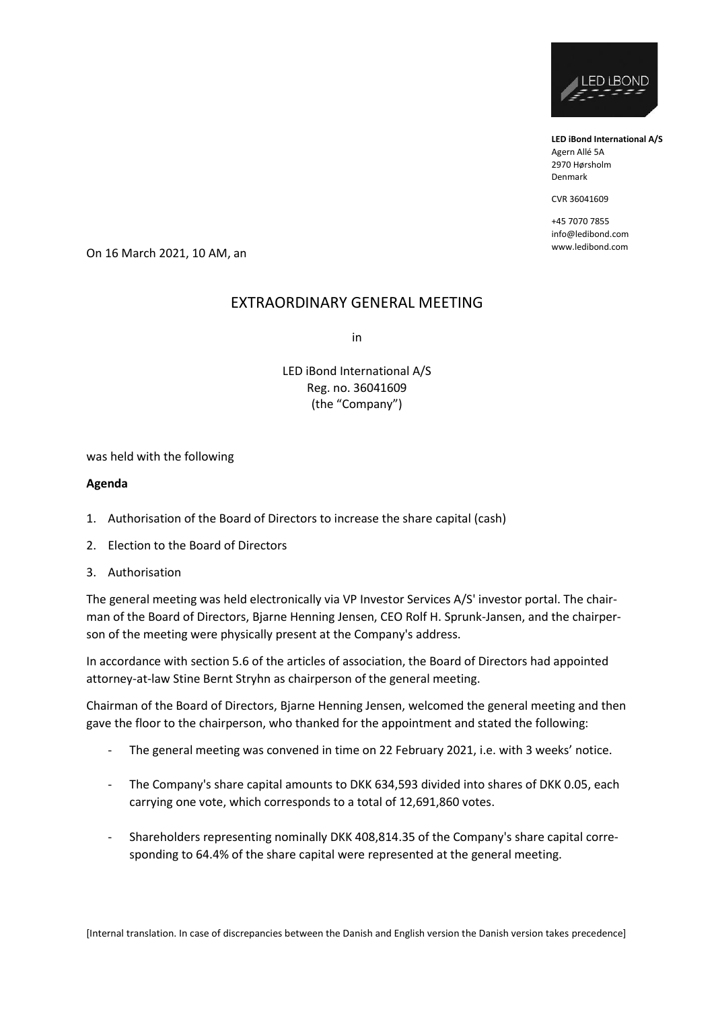

**LED iBond International A/S** Agern Allé 5A 2970 Hørsholm Denmark

CVR 36041609

+45 7070 7855 info@ledibond.com

www.ledibond.com On 16 March 2021, 10 AM, an

# EXTRAORDINARY GENERAL MEETING

in

LED iBond International A/S Reg. no. 36041609 (the "Company")

was held with the following

#### **Agenda**

- 1. Authorisation of the Board of Directors to increase the share capital (cash)
- 2. Election to the Board of Directors
- 3. Authorisation

The general meeting was held electronically via VP Investor Services A/S' investor portal. The chairman of the Board of Directors, Bjarne Henning Jensen, CEO Rolf H. Sprunk-Jansen, and the chairperson of the meeting were physically present at the Company's address.

In accordance with section 5.6 of the articles of association, the Board of Directors had appointed attorney-at-law Stine Bernt Stryhn as chairperson of the general meeting.

Chairman of the Board of Directors, Bjarne Henning Jensen, welcomed the general meeting and then gave the floor to the chairperson, who thanked for the appointment and stated the following:

- The general meeting was convened in time on 22 February 2021, i.e. with 3 weeks' notice.
- The Company's share capital amounts to DKK 634,593 divided into shares of DKK 0.05, each carrying one vote, which corresponds to a total of 12,691,860 votes.
- Shareholders representing nominally DKK 408,814.35 of the Company's share capital corresponding to 64.4% of the share capital were represented at the general meeting.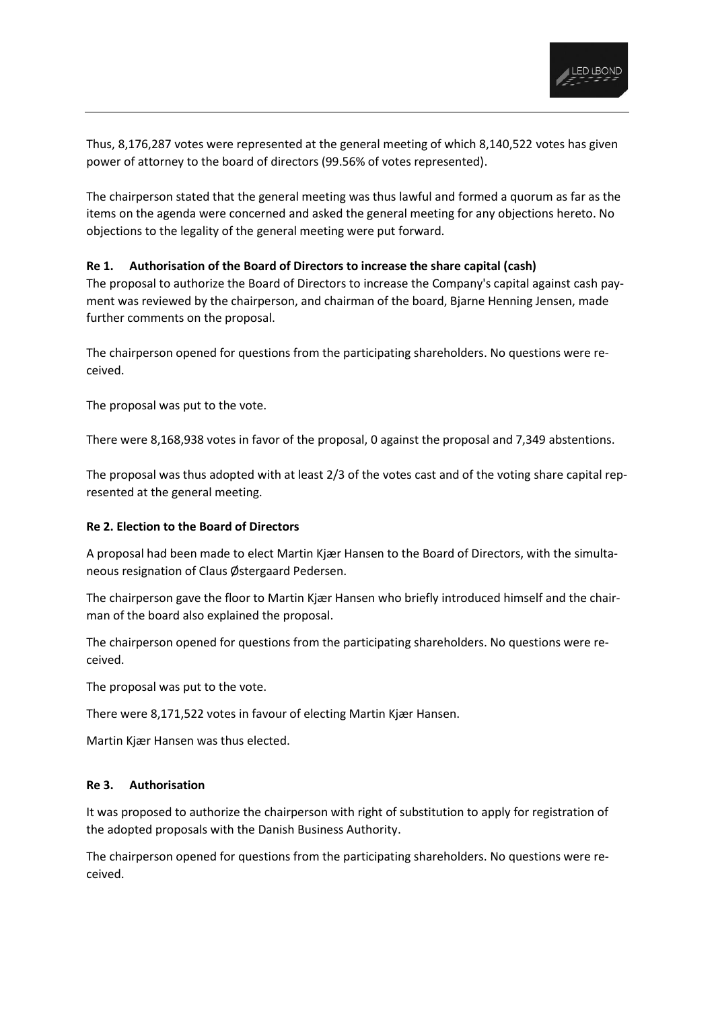

Thus, 8,176,287 votes were represented at the general meeting of which 8,140,522 votes has given power of attorney to the board of directors (99.56% of votes represented).

The chairperson stated that the general meeting was thus lawful and formed a quorum as far as the items on the agenda were concerned and asked the general meeting for any objections hereto. No objections to the legality of the general meeting were put forward.

## **Re 1. Authorisation of the Board of Directors to increase the share capital (cash)**

The proposal to authorize the Board of Directors to increase the Company's capital against cash payment was reviewed by the chairperson, and chairman of the board, Bjarne Henning Jensen, made further comments on the proposal.

The chairperson opened for questions from the participating shareholders. No questions were received.

The proposal was put to the vote.

There were 8,168,938 votes in favor of the proposal, 0 against the proposal and 7,349 abstentions.

The proposal was thus adopted with at least 2/3 of the votes cast and of the voting share capital represented at the general meeting.

## **Re 2. Election to the Board of Directors**

A proposal had been made to elect Martin Kjær Hansen to the Board of Directors, with the simultaneous resignation of Claus Østergaard Pedersen.

The chairperson gave the floor to Martin Kjær Hansen who briefly introduced himself and the chairman of the board also explained the proposal.

The chairperson opened for questions from the participating shareholders. No questions were received.

The proposal was put to the vote.

There were 8,171,522 votes in favour of electing Martin Kjær Hansen.

Martin Kjær Hansen was thus elected.

#### **Re 3. Authorisation**

It was proposed to authorize the chairperson with right of substitution to apply for registration of the adopted proposals with the Danish Business Authority.

The chairperson opened for questions from the participating shareholders. No questions were received.